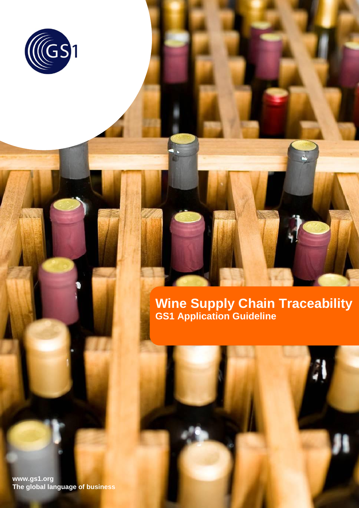

**Wine Supply Chain Traceability GS1 Application Guideline**

**Wine Supply Chain Traceability**

**www.gs1.org The global language of business**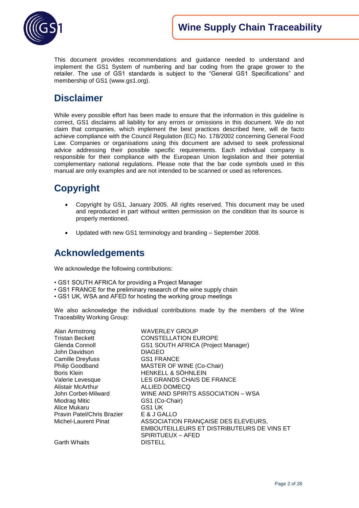

This document provides recommendations and guidance needed to understand and implement the GS1 System of numbering and bar coding from the grape grower to the retailer. The use of GS1 standards is subject to the "General GS1 Specifications" and membership of GS1 (www.gs1.org).

## **Disclaimer**

While every possible effort has been made to ensure that the information in this guideline is correct, GS1 disclaims all liability for any errors or omissions in this document. We do not claim that companies, which implement the best practices described here, will de facto achieve compliance with the Council Regulation (EC) No. 178/2002 concerning General Food Law. Companies or organisations using this document are advised to seek professional advice addressing their possible specific requirements. Each individual company is responsible for their compliance with the European Union legislation and their potential complementary national regulations. Please note that the bar code symbols used in this manual are only examples and are not intended to be scanned or used as references.

## **Copyright**

- Copyright by GS1, January 2005. All rights reserved. This document may be used and reproduced in part without written permission on the condition that its source is properly mentioned.
- Updated with new GS1 terminology and branding September 2008.

## **Acknowledgements**

We acknowledge the following contributions:

- GS1 SOUTH AFRICA for providing a Project Manager
- GS1 FRANCE for the preliminary research of the wine supply chain
- GS1 UK, WSA and AFED for hosting the working group meetings

We also acknowledge the individual contributions made by the members of the Wine Traceability Working Group:

| Alan Armstrong             | <b>WAVERLEY GROUP</b>                      |
|----------------------------|--------------------------------------------|
| <b>Tristan Beckett</b>     | <b>CONSTELLATION EUROPE</b>                |
| Glenda Connoll             | GS1 SOUTH AFRICA (Project Manager)         |
| John Davidson              | <b>DIAGEO</b>                              |
| Camille Dreyfuss           | <b>GS1 FRANCE</b>                          |
| Philip Goodband            | MASTER OF WINE (Co-Chair)                  |
| Boris Klein                | HENKELL & SÖHNLEIN                         |
| Valerie Levesque           | LES GRANDS CHAIS DE FRANCE                 |
| <b>Alistair McArthur</b>   | ALLIED DOMECQ                              |
| John Corbet-Milward        | WINE AND SPIRITS ASSOCIATION - WSA         |
| Miodrag Mitic              | GS1 (Co-Chair)                             |
| Alice Mukaru               | GS1 UK                                     |
| Pravin Patel/Chris Brazier | E & J GALLO                                |
| Michel-Laurent Pinat       | ASSOCIATION FRANÇAISE DES ELEVEURS,        |
|                            | EMBOUTEILLEURS ET DISTRIBUTEURS DE VINS ET |
|                            | SPIRITUEUX - AFED                          |
| <b>Garth Whaits</b>        | <b>DISTELL</b>                             |
|                            |                                            |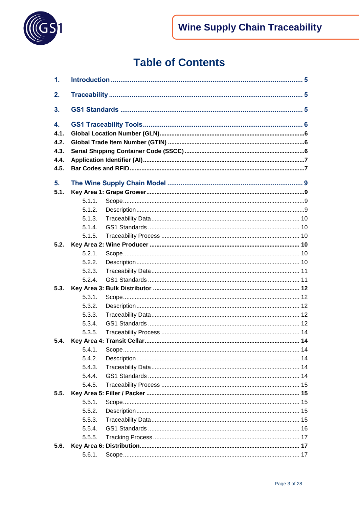

# **Table of Contents**

| 1.                                         |        |  |  |  |
|--------------------------------------------|--------|--|--|--|
| 2.                                         |        |  |  |  |
| 3.                                         |        |  |  |  |
| 4.<br>4.1.<br>4.2.<br>4.3.<br>4.4.<br>4.5. |        |  |  |  |
| 5.                                         |        |  |  |  |
| 5.1.                                       |        |  |  |  |
|                                            | 5.1.1. |  |  |  |
|                                            | 5.1.2. |  |  |  |
|                                            | 5.1.3. |  |  |  |
|                                            | 5.1.4. |  |  |  |
|                                            | 5.1.5. |  |  |  |
| 5.2.                                       |        |  |  |  |
|                                            | 5.2.1. |  |  |  |
|                                            | 5.2.2. |  |  |  |
|                                            | 5.2.3. |  |  |  |
|                                            | 5.2.4. |  |  |  |
| 5.3.                                       |        |  |  |  |
|                                            | 5.3.1. |  |  |  |
|                                            | 5.3.2. |  |  |  |
|                                            | 5.3.3. |  |  |  |
|                                            | 5.3.4. |  |  |  |
|                                            | 5.3.5. |  |  |  |
| 5.4.                                       |        |  |  |  |
|                                            |        |  |  |  |
|                                            | 5.4.2. |  |  |  |
|                                            | 5.4.3. |  |  |  |
|                                            | 5.4.4. |  |  |  |
|                                            | 5.4.5. |  |  |  |
| 5.5.                                       |        |  |  |  |
|                                            | 5.5.1. |  |  |  |
|                                            | 5.5.2. |  |  |  |
|                                            | 5.5.3. |  |  |  |
|                                            | 5.5.4. |  |  |  |
|                                            | 5.5.5. |  |  |  |
| 5.6.                                       |        |  |  |  |
|                                            | 5.6.1. |  |  |  |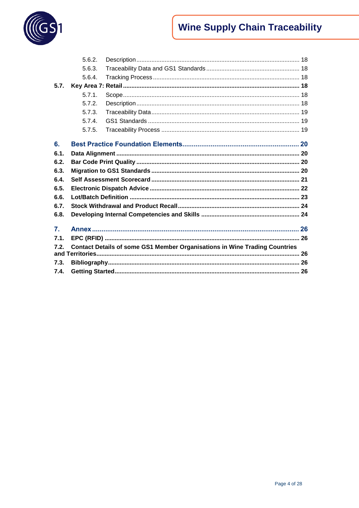

# **Wine Supply Chain Traceability**

|                | 5.6.2. |                                                                                   |  |
|----------------|--------|-----------------------------------------------------------------------------------|--|
|                | 5.6.3. |                                                                                   |  |
|                | 5.6.4. |                                                                                   |  |
| 5.7.           |        |                                                                                   |  |
|                | 5.7.1. |                                                                                   |  |
|                | 5.7.2. |                                                                                   |  |
|                | 5.7.3. |                                                                                   |  |
|                | 5.7.4  |                                                                                   |  |
|                | 5.7.5. |                                                                                   |  |
|                |        |                                                                                   |  |
| 6.             |        |                                                                                   |  |
| 6.1.           |        |                                                                                   |  |
| 6.2.           |        |                                                                                   |  |
| 6.3.           |        |                                                                                   |  |
| 6.4.           |        |                                                                                   |  |
| 6.5.           |        |                                                                                   |  |
| 6.6.           |        |                                                                                   |  |
| 6.7.           |        |                                                                                   |  |
| 6.8.           |        |                                                                                   |  |
|                |        |                                                                                   |  |
| $\mathbf{7}$ . |        |                                                                                   |  |
| 7.1.           |        |                                                                                   |  |
| 7.2.           |        | <b>Contact Details of some GS1 Member Organisations in Wine Trading Countries</b> |  |
|                |        |                                                                                   |  |
| 7.3.           |        |                                                                                   |  |
| 7.4.           |        |                                                                                   |  |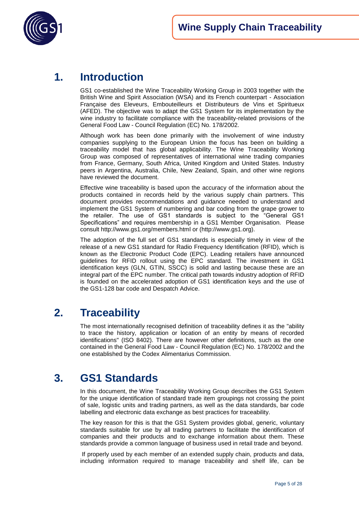

## <span id="page-4-0"></span>**1. Introduction**

GS1 co-established the Wine Traceability Working Group in 2003 together with the British Wine and Spirit Association (WSA) and its French counterpart - Association Française des Eleveurs, Embouteilleurs et Distributeurs de Vins et Spiritueux (AFED). The objective was to adapt the GS1 System for its implementation by the wine industry to facilitate compliance with the traceability-related provisions of the General Food Law - Council Regulation (EC) No. 178/2002.

Although work has been done primarily with the involvement of wine industry companies supplying to the European Union the focus has been on building a traceability model that has global applicability. The Wine Traceability Working Group was composed of representatives of international wine trading companies from France, Germany, South Africa, United Kingdom and United States. Industry peers in Argentina, Australia, Chile, New Zealand, Spain, and other wine regions have reviewed the document.

Effective wine traceability is based upon the accuracy of the information about the products contained in records held by the various supply chain partners. This document provides recommendations and guidance needed to understand and implement the GS1 System of numbering and bar coding from the grape grower to the retailer. The use of GS1 standards is subject to the "General GS1 Specifications" and requires membership in a GS1 Member Organisation. Please consult<http://www.gs1.org/members.html> or [\(http://www.gs1.org\)](http://www.gs1.org/).

The adoption of the full set of GS1 standards is especially timely in view of the release of a new GS1 standard for Radio Frequency Identification (RFID), which is known as the Electronic Product Code (EPC). Leading retailers have announced guidelines for RFID rollout using the EPC standard. The investment in GS1 identification keys (GLN, GTIN, SSCC) is solid and lasting because these are an integral part of the EPC number. The critical path towards industry adoption of RFID is founded on the accelerated adoption of GS1 identification keys and the use of the GS1-128 bar code and Despatch Advice.

## <span id="page-4-1"></span>**2. Traceability**

The most internationally recognised definition of traceability defines it as the "ability to trace the history, application or location of an entity by means of recorded identifications" (ISO 8402). There are however other definitions, such as the one contained in the General Food Law - Council Regulation (EC) No. 178/2002 and the one established by the Codex Alimentarius Commission.

## <span id="page-4-2"></span>**3. GS1 Standards**

In this document, the Wine Traceability Working Group describes the GS1 System for the unique identification of standard trade item groupings not crossing the point of sale, logistic units and trading partners, as well as the data standards, bar code labelling and electronic data exchange as best practices for traceability.

The key reason for this is that the GS1 System provides global, generic, voluntary standards suitable for use by all trading partners to facilitate the identification of companies and their products and to exchange information about them. These standards provide a common language of business used in retail trade and beyond.

If properly used by each member of an extended supply chain, products and data, including information required to manage traceability and shelf life, can be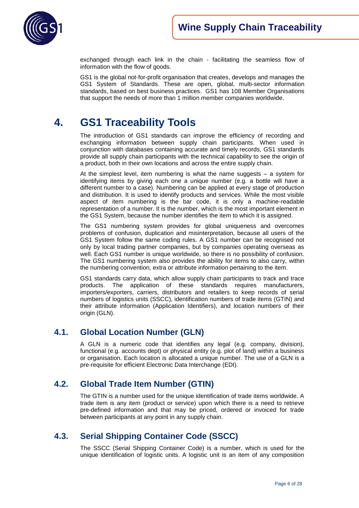

exchanged through each link in the chain - facilitating the seamless flow of information with the flow of goods.

GS1 is the global not-for-profit organisation that creates, develops and manages the GS1 System of Standards. These are open, global, multi-sector information standards, based on best business practices. GS1 has 108 Member Organisations that support the needs of more than 1 million member companies worldwide.

## <span id="page-5-0"></span>**4. GS1 Traceability Tools**

The introduction of GS1 standards can improve the efficiency of recording and exchanging information between supply chain participants. When used in conjunction with databases containing accurate and timely records, GS1 standards provide all supply chain participants with the technical capability to see the origin of a product, both in their own locations and across the entire supply chain.

At the simplest level, item numbering is what the name suggests – a system for identifying items by giving each one a unique number (e.g. a bottle will have a different number to a case). Numbering can be applied at every stage of production and distribution. It is used to identify products and services. While the most visible aspect of item numbering is the bar code, it is only a machine-readable representation of a number. It is the number, which is the most important element in the GS1 System, because the number identifies the item to which it is assigned.

The GS1 numbering system provides for global uniqueness and overcomes problems of confusion, duplication and misinterpretation, because all users of the GS1 System follow the same coding rules. A GS1 number can be recognised not only by local trading partner companies, but by companies operating overseas as well. Each GS1 number is unique worldwide, so there is no possibility of confusion. The GS1 numbering system also provides the ability for items to also carry, within the numbering convention, extra or attribute information pertaining to the item.

GS1 standards carry data, which allow supply chain participants to track and trace products. The application of these standards requires manufacturers, importers/exporters, carriers, distributors and retailers to keep records of serial numbers of logistics units (SSCC), identification numbers of trade items (GTIN) and their attribute information (Application Identifiers), and location numbers of their origin (GLN).

## <span id="page-5-1"></span>**4.1. Global Location Number (GLN)**

A GLN is a numeric code that identifies any legal (e.g. company, division), functional (e.g. accounts dept) or physical entity (e.g. plot of land) within a business or organisation. Each location is allocated a unique number. The use of a GLN is a pre-requisite for efficient Electronic Data Interchange (EDI).

## <span id="page-5-2"></span>**4.2. Global Trade Item Number (GTIN)**

The GTIN is a number used for the unique identification of trade items worldwide. A trade item is any item (product or service) upon which there is a need to retrieve pre-defined information and that may be priced, ordered or invoiced for trade between participants at any point in any supply chain.

## <span id="page-5-3"></span>**4.3. Serial Shipping Container Code (SSCC)**

The SSCC (Serial Shipping Container Code) is a number, which is used for the unique identification of logistic units. A logistic unit is an item of any composition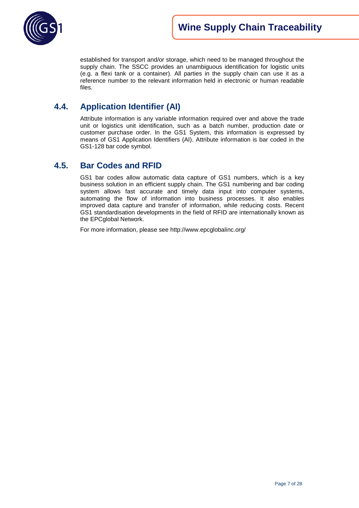

established for transport and/or storage, which need to be managed throughout the supply chain. The SSCC provides an unambiguous identification for logistic units (e.g. a flexi tank or a container). All parties in the supply chain can use it as a reference number to the relevant information held in electronic or human readable files.

## <span id="page-6-0"></span>**4.4. Application Identifier (AI)**

Attribute information is any variable information required over and above the trade unit or logistics unit identification, such as a batch number, production date or customer purchase order. In the GS1 System, this information is expressed by means of GS1 Application Identifiers (AI). Attribute information is bar coded in the GS1-128 bar code symbol.

## <span id="page-6-1"></span>**4.5. Bar Codes and RFID**

GS1 bar codes allow automatic data capture of GS1 numbers, which is a key business solution in an efficient supply chain. The GS1 numbering and bar coding system allows fast accurate and timely data input into computer systems, automating the flow of information into business processes. It also enables improved data capture and transfer of information, while reducing costs. Recent GS1 standardisation developments in the field of RFID are internationally known as the EPCglobal Network.

For more information, please see<http://www.epcglobalinc.org/>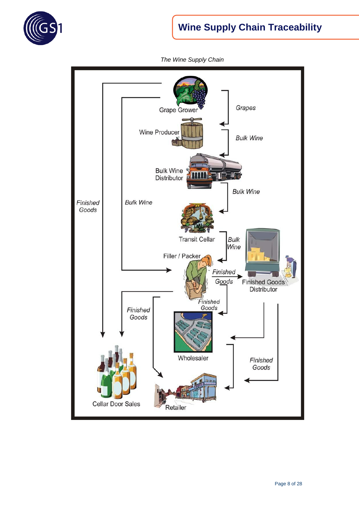

# **Wine Supply Chain Traceability**



*The Wine Supply Chain*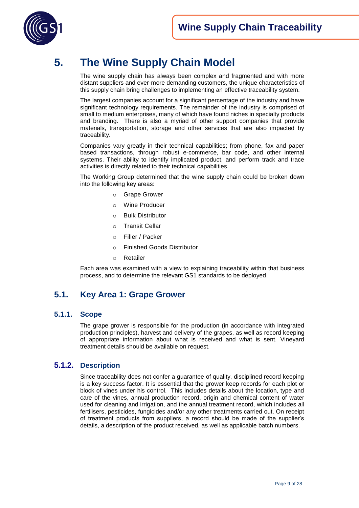

# <span id="page-8-0"></span>**5. The Wine Supply Chain Model**

The wine supply chain has always been complex and fragmented and with more distant suppliers and ever-more demanding customers, the unique characteristics of this supply chain bring challenges to implementing an effective traceability system.

The largest companies account for a significant percentage of the industry and have significant technology requirements. The remainder of the industry is comprised of small to medium enterprises, many of which have found niches in specialty products and branding. There is also a myriad of other support companies that provide materials, transportation, storage and other services that are also impacted by traceability.

Companies vary greatly in their technical capabilities; from phone, fax and paper based transactions, through robust e-commerce, bar code, and other internal systems. Their ability to identify implicated product, and perform track and trace activities is directly related to their technical capabilities.

The Working Group determined that the wine supply chain could be broken down into the following key areas:

- o Grape Grower
- o Wine Producer
- o Bulk Distributor
- o Transit Cellar
- o Filler / Packer
- o Finished Goods Distributor
- o Retailer

Each area was examined with a view to explaining traceability within that business process, and to determine the relevant GS1 standards to be deployed.

## <span id="page-8-1"></span>**5.1. Key Area 1: Grape Grower**

#### <span id="page-8-2"></span>**5.1.1. Scope**

The grape grower is responsible for the production (in accordance with integrated production principles), harvest and delivery of the grapes, as well as record keeping of appropriate information about what is received and what is sent. Vineyard treatment details should be available on request.

#### <span id="page-8-3"></span>**5.1.2. Description**

Since traceability does not confer a guarantee of quality, disciplined record keeping is a key success factor. It is essential that the grower keep records for each plot or block of vines under his control. This includes details about the location, type and care of the vines, annual production record, origin and chemical content of water used for cleaning and irrigation, and the annual treatment record, which includes all fertilisers, pesticides, fungicides and/or any other treatments carried out. On receipt of treatment products from suppliers, a record should be made of the supplier"s details, a description of the product received, as well as applicable batch numbers.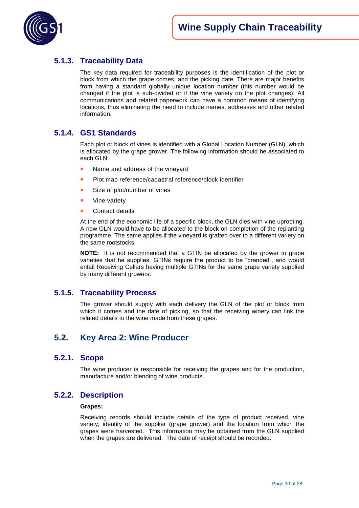

## <span id="page-9-0"></span>**5.1.3. Traceability Data**

The key data required for traceability purposes is the identification of the plot or block from which the grape comes, and the picking date. There are major benefits from having a standard globally unique location number (this number would be changed if the plot is sub-divided or if the vine variety on the plot changes). All communications and related paperwork can have a common means of identifying locations, thus eliminating the need to include names, addresses and other related information.

### <span id="page-9-1"></span>**5.1.4. GS1 Standards**

Each plot or block of vines is identified with a Global Location Number (GLN), which is allocated by the grape grower. The following information should be associated to each GLN:

- Name and address of the vineyard
- **Plot map reference/cadastral reference/block identifier**
- Size of plot/number of vines
- Vine variety
- Contact details

At the end of the economic life of a specific block, the GLN dies with vine uprooting. A new GLN would have to be allocated to the block on completion of the replanting programme. The same applies if the vineyard is grafted over to a different variety on the same rootstocks.

**NOTE:** It is not recommended that a GTIN be allocated by the grower to grape varieties that he supplies. GTINs require the product to be "branded", and would entail Receiving Cellars having multiple GTINs for the same grape variety supplied by many different growers.

### <span id="page-9-2"></span>**5.1.5. Traceability Process**

The grower should supply with each delivery the GLN of the plot or block from which it comes and the date of picking, so that the receiving winery can link the related details to the wine made from these grapes.

## <span id="page-9-3"></span>**5.2. Key Area 2: Wine Producer**

#### <span id="page-9-4"></span>**5.2.1. Scope**

The wine producer is responsible for receiving the grapes and for the production, manufacture and/or blending of wine products.

#### <span id="page-9-5"></span>**5.2.2. Description**

#### **Grapes:**

Receiving records should include details of the type of product received, vine variety, identity of the supplier (grape grower) and the location from which the grapes were harvested. This information may be obtained from the GLN supplied when the grapes are delivered. The date of receipt should be recorded.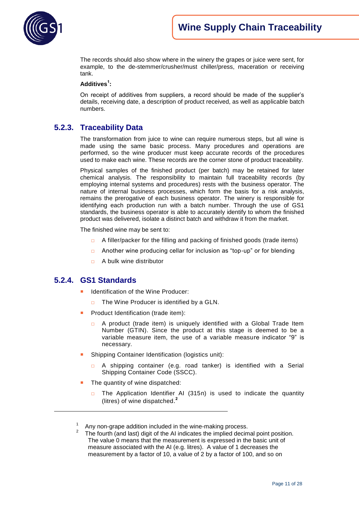The records should also show where in the winery the grapes or juice were sent, for example, to the de-stemmer/crusher/must chiller/press, maceration or receiving tank.

#### **Additives<sup>1</sup> :**

On receipt of additives from suppliers, a record should be made of the supplier"s details, receiving date, a description of product received, as well as applicable batch numbers.

### <span id="page-10-0"></span>**5.2.3. Traceability Data**

The transformation from juice to wine can require numerous steps, but all wine is made using the same basic process. Many procedures and operations are performed, so the wine producer must keep accurate records of the procedures used to make each wine. These records are the corner stone of product traceability.

Physical samples of the finished product (per batch) may be retained for later chemical analysis. The responsibility to maintain full traceability records (by employing internal systems and procedures) rests with the business operator. The nature of internal business processes, which form the basis for a risk analysis, remains the prerogative of each business operator. The winery is responsible for identifying each production run with a batch number. Through the use of GS1 standards, the business operator is able to accurately identify to whom the finished product was delivered, isolate a distinct batch and withdraw it from the market.

The finished wine may be sent to:

- □ A filler/packer for the filling and packing of finished goods (trade items)
- □ Another wine producing cellar for inclusion as "top-up" or for blending
- □ A bulk wine distributor

### <span id="page-10-1"></span>**5.2.4. GS1 Standards**

 $\overline{a}$ 

- Identification of the Wine Producer:
	- $\Box$  The Wine Producer is identified by a GLN.
- Product Identification (trade item):
	- A product (trade item) is uniquely identified with a Global Trade Item Number (GTIN). Since the product at this stage is deemed to be a variable measure item, the use of a variable measure indicator "9" is necessary.
- Shipping Container Identification (logistics unit):
	- A shipping container (e.g. road tanker) is identified with a Serial Shipping Container Code (SSCC).
- The quantity of wine dispatched:
	- □ The Application Identifier AI (315n) is used to indicate the quantity (litres) of wine dispatched. **2**

<sup>1</sup> Any non-grape addition included in the wine-making process.

<sup>2</sup> The fourth (and last) digit of the AI indicates the implied decimal point position. The value 0 means that the measurement is expressed in the basic unit of measure associated with the AI (e.g. litres). A value of 1 decreases the measurement by a factor of 10, a value of 2 by a factor of 100, and so on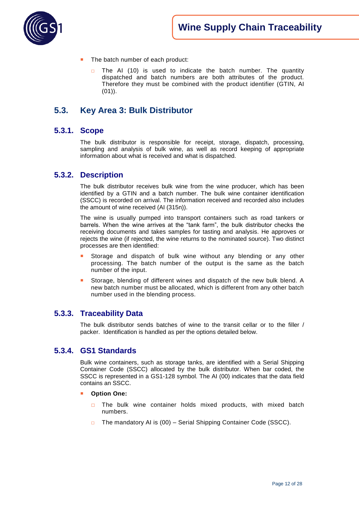

- The batch number of each product:
	- $\Box$  The AI (10) is used to indicate the batch number. The quantity dispatched and batch numbers are both attributes of the product. Therefore they must be combined with the product identifier (GTIN, AI  $(01)$ .

## <span id="page-11-0"></span>**5.3. Key Area 3: Bulk Distributor**

#### <span id="page-11-1"></span>**5.3.1. Scope**

The bulk distributor is responsible for receipt, storage, dispatch, processing, sampling and analysis of bulk wine, as well as record keeping of appropriate information about what is received and what is dispatched.

#### <span id="page-11-2"></span>**5.3.2. Description**

The bulk distributor receives bulk wine from the wine producer, which has been identified by a GTIN and a batch number. The bulk wine container identification (SSCC) is recorded on arrival. The information received and recorded also includes the amount of wine received (AI (315n)).

The wine is usually pumped into transport containers such as road tankers or barrels. When the wine arrives at the "tank farm", the bulk distributor checks the receiving documents and takes samples for tasting and analysis. He approves or rejects the wine (if rejected, the wine returns to the nominated source). Two distinct processes are then identified:

- Storage and dispatch of bulk wine without any blending or any other processing. The batch number of the output is the same as the batch number of the input.
- Storage, blending of different wines and dispatch of the new bulk blend. A new batch number must be allocated, which is different from any other batch number used in the blending process.

#### <span id="page-11-3"></span>**5.3.3. Traceability Data**

The bulk distributor sends batches of wine to the transit cellar or to the filler / packer. Identification is handled as per the options detailed below.

#### <span id="page-11-4"></span>**5.3.4. GS1 Standards**

Bulk wine containers, such as storage tanks, are identified with a Serial Shipping Container Code (SSCC) allocated by the bulk distributor. When bar coded, the SSCC is represented in a GS1-128 symbol. The AI (00) indicates that the data field contains an SSCC.

- **Option One:** 
	- □ The bulk wine container holds mixed products, with mixed batch numbers.
	- □ The mandatory AI is (00) Serial Shipping Container Code (SSCC).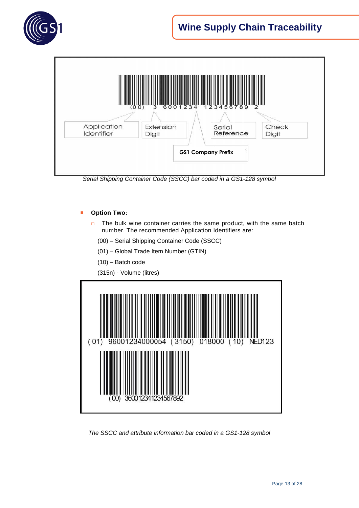



*Serial Shipping Container Code (SSCC) bar coded in a GS1-128 symbol* 

#### **Option Two:**

- □ The bulk wine container carries the same product, with the same batch number. The recommended Application Identifiers are:
	- (00) Serial Shipping Container Code (SSCC)
	- (01) Global Trade Item Number (GTIN)
	- (10) Batch code
	- (315n) Volume (litres)



*The SSCC and attribute information bar coded in a GS1-128 symbol*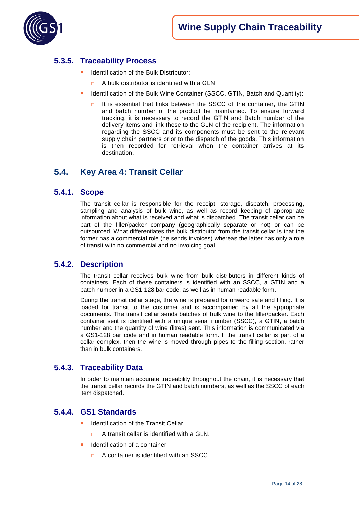

## <span id="page-13-0"></span>**5.3.5. Traceability Process**

- Identification of the Bulk Distributor:
	- A bulk distributor is identified with a GLN.
- Identification of the Bulk Wine Container (SSCC, GTIN, Batch and Quantity):
	- $\Box$  It is essential that links between the SSCC of the container, the GTIN and batch number of the product be maintained. To ensure forward tracking, it is necessary to record the GTIN and Batch number of the delivery items and link these to the GLN of the recipient. The information regarding the SSCC and its components must be sent to the relevant supply chain partners prior to the dispatch of the goods. This information is then recorded for retrieval when the container arrives at its destination.

## <span id="page-13-1"></span>**5.4. Key Area 4: Transit Cellar**

#### <span id="page-13-2"></span>**5.4.1. Scope**

The transit cellar is responsible for the receipt, storage, dispatch, processing, sampling and analysis of bulk wine, as well as record keeping of appropriate information about what is received and what is dispatched. The transit cellar can be part of the filler/packer company (geographically separate or not) or can be outsourced. What differentiates the bulk distributor from the transit cellar is that the former has a commercial role (he sends invoices) whereas the latter has only a role of transit with no commercial and no invoicing goal.

#### <span id="page-13-3"></span>**5.4.2. Description**

The transit cellar receives bulk wine from bulk distributors in different kinds of containers. Each of these containers is identified with an SSCC, a GTIN and a batch number in a GS1-128 bar code, as well as in human readable form.

During the transit cellar stage, the wine is prepared for onward sale and filling. It is loaded for transit to the customer and is accompanied by all the appropriate documents. The transit cellar sends batches of bulk wine to the filler/packer. Each container sent is identified with a unique serial number (SSCC), a GTIN, a batch number and the quantity of wine (litres) sent. This information is communicated via a GS1-128 bar code and in human readable form. If the transit cellar is part of a cellar complex, then the wine is moved through pipes to the filling section, rather than in bulk containers.

#### <span id="page-13-4"></span>**5.4.3. Traceability Data**

In order to maintain accurate traceability throughout the chain, it is necessary that the transit cellar records the GTIN and batch numbers, as well as the SSCC of each item dispatched.

#### <span id="page-13-5"></span>**5.4.4. GS1 Standards**

- Identification of the Transit Cellar
	- $\Box$  A transit cellar is identified with a GLN.
- Identification of a container
	- □ A container is identified with an SSCC.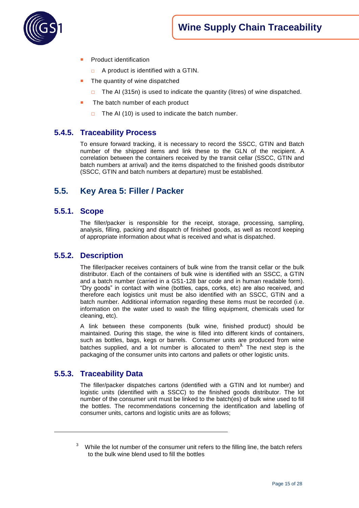

- Product identification
	- $\Box$  A product is identified with a GTIN.
- The quantity of wine dispatched
	- □ The AI (315n) is used to indicate the quantity (litres) of wine dispatched.
- The batch number of each product
	- $\Box$  The AI (10) is used to indicate the batch number.

## <span id="page-14-0"></span>**5.4.5. Traceability Process**

To ensure forward tracking, it is necessary to record the SSCC, GTIN and Batch number of the shipped items and link these to the GLN of the recipient. A correlation between the containers received by the transit cellar (SSCC, GTIN and batch numbers at arrival) and the items dispatched to the finished goods distributor (SSCC, GTIN and batch numbers at departure) must be established.

## <span id="page-14-1"></span>**5.5. Key Area 5: Filler / Packer**

#### <span id="page-14-2"></span>**5.5.1. Scope**

The filler/packer is responsible for the receipt, storage, processing, sampling, analysis, filling, packing and dispatch of finished goods, as well as record keeping of appropriate information about what is received and what is dispatched.

#### <span id="page-14-3"></span>**5.5.2. Description**

The filler/packer receives containers of bulk wine from the transit cellar or the bulk distributor. Each of the containers of bulk wine is identified with an SSCC, a GTIN and a batch number (carried in a GS1-128 bar code and in human readable form). "Dry goods" in contact with wine (bottles, caps, corks, etc) are also received, and therefore each logistics unit must be also identified with an SSCC, GTIN and a batch number. Additional information regarding these items must be recorded (i.e. information on the water used to wash the filling equipment, chemicals used for cleaning, etc).

A link between these components (bulk wine, finished product) should be maintained. During this stage, the wine is filled into different kinds of containers, such as bottles, bags, kegs or barrels. Consumer units are produced from wine batches supplied, and a lot number is allocated to them**<sup>3</sup>.** The next step is the packaging of the consumer units into cartons and pallets or other logistic units.

#### <span id="page-14-4"></span>**5.5.3. Traceability Data**

 $\overline{a}$ 

The filler/packer dispatches cartons (identified with a GTIN and lot number) and logistic units (identified with a SSCC) to the finished goods distributor. The lot number of the consumer unit must be linked to the batch(es) of bulk wine used to fill the bottles. The recommendations concerning the identification and labelling of consumer units, cartons and logistic units are as follows;

 $3$  While the lot number of the consumer unit refers to the filling line, the batch refers to the bulk wine blend used to fill the bottles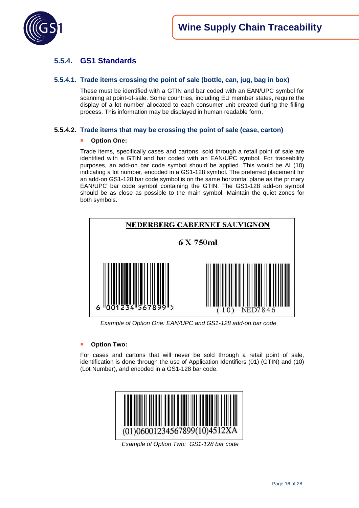

## <span id="page-15-0"></span>**5.5.4. GS1 Standards**

#### **5.5.4.1. Trade items crossing the point of sale (bottle, can, jug, bag in box)**

These must be identified with a GTIN and bar coded with an EAN/UPC symbol for scanning at point-of-sale. Some countries, including EU member states, require the display of a lot number allocated to each consumer unit created during the filling process. This information may be displayed in human readable form.

#### **5.5.4.2. Trade items that may be crossing the point of sale (case, carton)**

#### **Option One:**

Trade items, specifically cases and cartons, sold through a retail point of sale are identified with a GTIN and bar coded with an EAN/UPC symbol. For traceability purposes, an add-on bar code symbol should be applied. This would be AI (10) indicating a lot number, encoded in a GS1-128 symbol. The preferred placement for an add-on GS1-128 bar code symbol is on the same horizontal plane as the primary EAN/UPC bar code symbol containing the GTIN. The GS1-128 add-on symbol should be as close as possible to the main symbol. Maintain the quiet zones for both symbols.



 *Example of Option One: EAN/UPC and GS1-128 add-on bar code*

#### ■ **Option Two:**

For cases and cartons that will never be sold through a retail point of sale, identification is done through the use of Application Identifiers (01) (GTIN) and (10) (Lot Number), and encoded in a GS1-128 bar code.



*Example of Option Two: GS1-128 bar code*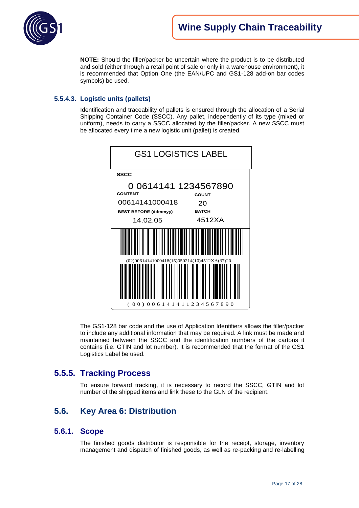

**NOTE:** Should the filler/packer be uncertain where the product is to be distributed and sold (either through a retail point of sale or only in a warehouse environment), it is recommended that Option One (the EAN/UPC and GS1-128 add-on bar codes symbols) be used.

#### **5.5.4.3. Logistic units (pallets)**

Identification and traceability of pallets is ensured through the allocation of a Serial Shipping Container Code (SSCC). Any pallet, independently of its type (mixed or uniform), needs to carry a SSCC allocated by the filler/packer. A new SSCC must be allocated every time a new logistic unit (pallet) is created.

| <b>GS1 LOGISTICS LABEL</b>                                               |              |
|--------------------------------------------------------------------------|--------------|
| <b>SSCC</b>                                                              |              |
| 0 0614141 1234567890<br><b>CONTENT</b>                                   | <b>COUNT</b> |
| 00614141000418                                                           | 20           |
| <b>BEST BEFORE (ddmmyy)</b>                                              | <b>BATCH</b> |
| 14.02.05                                                                 | 4512XA       |
|                                                                          |              |
| $(02)00614141000418(15)050214(10)4512XA(37)20$<br>(00)006141411234567890 |              |

The GS1-128 bar code and the use of Application Identifiers allows the filler/packer to include any additional information that may be required. A link must be made and maintained between the SSCC and the identification numbers of the cartons it contains (i.e. GTIN and lot number). It is recommended that the format of the GS1 Logistics Label be used.

## <span id="page-16-0"></span>**5.5.5. Tracking Process**

To ensure forward tracking, it is necessary to record the SSCC, GTIN and lot number of the shipped items and link these to the GLN of the recipient.

## <span id="page-16-1"></span>**5.6. Key Area 6: Distribution**

#### <span id="page-16-2"></span>**5.6.1. Scope**

The finished goods distributor is responsible for the receipt, storage, inventory management and dispatch of finished goods, as well as re-packing and re-labelling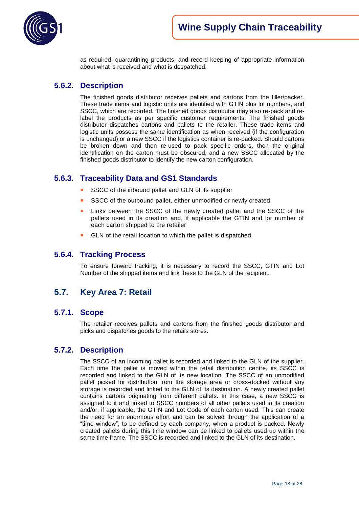

as required, quarantining products, and record keeping of appropriate information about what is received and what is despatched.

## <span id="page-17-0"></span>**5.6.2. Description**

The finished goods distributor receives pallets and cartons from the filler/packer. These trade items and logistic units are identified with GTIN plus lot numbers, and SSCC, which are recorded. The finished goods distributor may also re-pack and relabel the products as per specific customer requirements. The finished goods distributor dispatches cartons and pallets to the retailer. These trade items and logistic units possess the same identification as when received (if the configuration is unchanged) or a new SSCC if the logistics container is re-packed. Should cartons be broken down and then re-used to pack specific orders, then the original identification on the carton must be obscured, and a new SSCC allocated by the finished goods distributor to identify the new carton configuration.

### <span id="page-17-1"></span>**5.6.3. Traceability Data and GS1 Standards**

- SSCC of the inbound pallet and GLN of its supplier
- SSCC of the outbound pallet, either unmodified or newly created
- Links between the SSCC of the newly created pallet and the SSCC of the pallets used in its creation and, if applicable the GTIN and lot number of each carton shipped to the retailer
- GLN of the retail location to which the pallet is dispatched

#### <span id="page-17-2"></span>**5.6.4. Tracking Process**

To ensure forward tracking, it is necessary to record the SSCC, GTIN and Lot Number of the shipped items and link these to the GLN of the recipient.

## <span id="page-17-3"></span>**5.7. Key Area 7: Retail**

#### <span id="page-17-4"></span>**5.7.1. Scope**

The retailer receives pallets and cartons from the finished goods distributor and picks and dispatches goods to the retails stores.

#### <span id="page-17-5"></span>**5.7.2. Description**

The SSCC of an incoming pallet is recorded and linked to the GLN of the supplier. Each time the pallet is moved within the retail distribution centre, its SSCC is recorded and linked to the GLN of its new location. The SSCC of an unmodified pallet picked for distribution from the storage area or cross-docked without any storage is recorded and linked to the GLN of its destination. A newly created pallet contains cartons originating from different pallets. In this case, a new SSCC is assigned to it and linked to SSCC numbers of all other pallets used in its creation and/or, if applicable, the GTIN and Lot Code of each carton used. This can create the need for an enormous effort and can be solved through the application of a "time window", to be defined by each company, when a product is packed. Newly created pallets during this time window can be linked to pallets used up within the same time frame. The SSCC is recorded and linked to the GLN of its destination.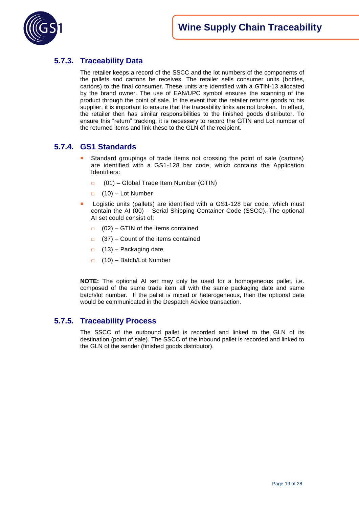

## <span id="page-18-0"></span>**5.7.3. Traceability Data**

The retailer keeps a record of the SSCC and the lot numbers of the components of the pallets and cartons he receives. The retailer sells consumer units (bottles, cartons) to the final consumer. These units are identified with a GTIN-13 allocated by the brand owner. The use of EAN/UPC symbol ensures the scanning of the product through the point of sale. In the event that the retailer returns goods to his supplier, it is important to ensure that the traceability links are not broken. In effect, the retailer then has similar responsibilities to the finished goods distributor. To ensure this "return" tracking, it is necessary to record the GTIN and Lot number of the returned items and link these to the GLN of the recipient.

## <span id="page-18-1"></span>**5.7.4. GS1 Standards**

- Standard groupings of trade items not crossing the point of sale (cartons) are identified with a GS1-128 bar code, which contains the Application Identifiers:
	- □ (01) Global Trade Item Number (GTIN)
	- $\Box$  (10) Lot Number
- Logistic units (pallets) are identified with a GS1-128 bar code, which must contain the AI (00) – Serial Shipping Container Code (SSCC). The optional AI set could consist of:
	- $\Box$  (02) GTIN of the items contained
	- $\Box$  (37) Count of the items contained
	- $\Box$  (13) Packaging date
	- □ (10) Batch/Lot Number

**NOTE:** The optional AI set may only be used for a homogeneous pallet, i.e. composed of the same trade item all with the same packaging date and same batch/lot number. If the pallet is mixed or heterogeneous, then the optional data would be communicated in the Despatch Advice transaction.

### <span id="page-18-2"></span>**5.7.5. Traceability Process**

The SSCC of the outbound pallet is recorded and linked to the GLN of its destination (point of sale). The SSCC of the inbound pallet is recorded and linked to the GLN of the sender (finished goods distributor).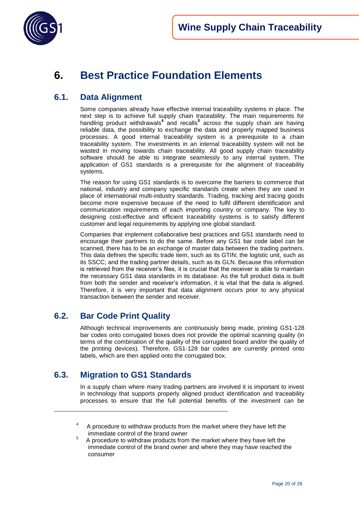

# <span id="page-19-0"></span>**6. Best Practice Foundation Elements**

## <span id="page-19-1"></span>**6.1. Data Alignment**

Some companies already have effective internal traceability systems in place. The next step is to achieve full supply chain traceability. The main requirements for handling product withdrawals**<sup>4</sup>** and recalls**<sup>5</sup>** across the supply chain are having reliable data, the possibility to exchange the data and properly mapped business processes. A good internal traceability system is a prerequisite to a chain traceability system. The investments in an internal traceability system will not be wasted in moving towards chain traceability. All good supply chain traceability software should be able to integrate seamlessly to any internal system. The application of GS1 standards is a prerequisite for the alignment of traceability systems.

The reason for using GS1 standards is to overcome the barriers to commerce that national, industry and company specific standards create when they are used in place of international multi-industry standards. Trading, tracking and tracing goods become more expensive because of the need to fulfil different identification and communication requirements of each importing country or company. The key to designing cost-effective and efficient traceability systems is to satisfy different customer and legal requirements by applying one global standard.

Companies that implement collaborative best practices and GS1 standards need to encourage their partners to do the same. Before any GS1 bar code label can be scanned, there has to be an exchange of master data between the trading partners. This data defines the specific trade item, such as its GTIN; the logistic unit, such as its SSCC; and the trading partner details, such as its GLN. Because this information is retrieved from the receiver"s files, it is crucial that the receiver is able to maintain the necessary GS1 data standards in its database. As the full product data is built from both the sender and receiver"s information, it is vital that the data is aligned. Therefore, it is very important that data alignment occurs prior to any physical transaction between the sender and receiver.

## <span id="page-19-2"></span>**6.2. Bar Code Print Quality**

Although technical improvements are continuously being made, printing GS1-128 bar codes onto corrugated boxes does not provide the optimal scanning quality (in terms of the combination of the quality of the corrugated board and/or the quality of the printing devices). Therefore, GS1-128 bar codes are currently printed onto labels, which are then applied onto the corrugated box.

## <span id="page-19-3"></span>**6.3. Migration to GS1 Standards**

 $\overline{a}$ 

In a supply chain where many trading partners are involved it is important to invest in technology that supports properly aligned product identification and traceability processes to ensure that the full potential benefits of the investment can be

<sup>4</sup> A procedure to withdraw products from the market where they have left the immediate control of the brand owner

<sup>5</sup> A procedure to withdraw products from the market where they have left the immediate control of the brand owner and where they may have reached the consumer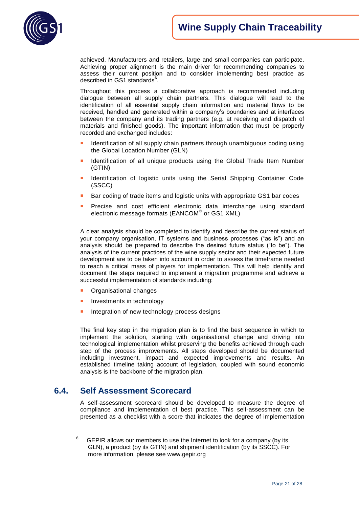

achieved. Manufacturers and retailers, large and small companies can participate. Achieving proper alignment is the main driver for recommending companies to assess their current position and to consider implementing best practice as described in GS1 standards**<sup>6</sup>** .

Throughout this process a collaborative approach is recommended including dialogue between all supply chain partners. This dialogue will lead to the identification of all essential supply chain information and material flows to be received, handled and generated within a company's boundaries and at interfaces between the company and its trading partners (e.g. at receiving and dispatch of materials and finished goods). The important information that must be properly recorded and exchanged includes:

- Identification of all supply chain partners through unambiguous coding using the Global Location Number (GLN)
- Identification of all unique products using the Global Trade Item Number (GTIN)
- Identification of logistic units using the Serial Shipping Container Code (SSCC)
- Bar coding of trade items and logistic units with appropriate GS1 bar codes
- Precise and cost efficient electronic data interchange using standard electronic message formats (EANCOM® or GS1 XML)

A clear analysis should be completed to identify and describe the current status of your company organisation, IT systems and business processes ("as is") and an analysis should be prepared to describe the desired future status ("to be"). The analysis of the current practices of the wine supply sector and their expected future development are to be taken into account in order to assess the timeframe needed to reach a critical mass of players for implementation. This will help identify and document the steps required to implement a migration programme and achieve a successful implementation of standards including:

- Organisational changes
- Investments in technology
- Integration of new technology process designs

The final key step in the migration plan is to find the best sequence in which to implement the solution, starting with organisational change and driving into technological implementation whilst preserving the benefits achieved through each step of the process improvements. All steps developed should be documented including investment, impact and expected improvements and results. An established timeline taking account of legislation, coupled with sound economic analysis is the backbone of the migration plan.

## <span id="page-20-0"></span>**6.4. Self Assessment Scorecard**

 $\overline{a}$ 

A self-assessment scorecard should be developed to measure the degree of compliance and implementation of best practice. This self-assessment can be presented as a checklist with a score that indicates the degree of implementation

6 GEPIR allows our members to use the Internet to look for a company (by its GLN), a product (by its GTIN) and shipment identification (by its SSCC). For more information, please see www.gepir.org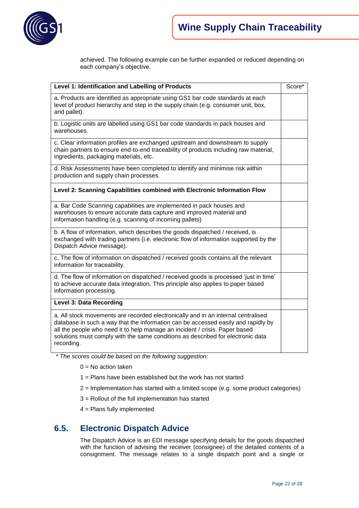

achieved. The following example can be further expanded or reduced depending on each company's objective.

| Level 1: Identification and Labelling of Products                                                                                                                                                                                                                                                                                                      |  |  |
|--------------------------------------------------------------------------------------------------------------------------------------------------------------------------------------------------------------------------------------------------------------------------------------------------------------------------------------------------------|--|--|
| a. Products are identified as appropriate using GS1 bar code standards at each<br>level of product hierarchy and step in the supply chain (e.g. consumer unit, box,<br>and pallet).                                                                                                                                                                    |  |  |
| b. Logistic units are labelled using GS1 bar code standards in pack houses and<br>warehouses.                                                                                                                                                                                                                                                          |  |  |
| c. Clear information profiles are exchanged upstream and downstream to supply<br>chain partners to ensure end-to-end traceability of products including raw material,<br>ingredients, packaging materials, etc.                                                                                                                                        |  |  |
| d. Risk Assessments have been completed to identify and minimise risk within<br>production and supply chain processes.                                                                                                                                                                                                                                 |  |  |
| Level 2: Scanning Capabilities combined with Electronic Information Flow                                                                                                                                                                                                                                                                               |  |  |
| a. Bar Code Scanning capabilities are implemented in pack houses and<br>warehouses to ensure accurate data capture and improved material and<br>information handling (e.g. scanning of incoming pallets)                                                                                                                                               |  |  |
| b. A flow of information, which describes the goods dispatched / received, is<br>exchanged with trading partners (i.e. electronic flow of information supported by the<br>Dispatch Advice message).                                                                                                                                                    |  |  |
| c. The flow of information on dispatched / received goods contains all the relevant<br>information for traceability.                                                                                                                                                                                                                                   |  |  |
| d. The flow of information on dispatched / received goods is processed 'just in time'<br>to achieve accurate data integration. This principle also applies to paper based<br>information processing.                                                                                                                                                   |  |  |
| Level 3: Data Recording                                                                                                                                                                                                                                                                                                                                |  |  |
| a. All stock movements are recorded electronically and in an internal centralised<br>database in such a way that the information can be accessed easily and rapidly by<br>all the people who need it to help manage an incident / crisis. Paper based<br>solutions must comply with the same conditions as described for electronic data<br>recording. |  |  |

*\* The scores could be based on the following suggestion:* 

- $0 = No$  action taken
- 1 = Plans have been established but the work has not started
- 2 = Implementation has started with a limited scope (e.g. some product categories)
- 3 = Rollout of the full implementation has started
- 4 = Plans fully implemented

### <span id="page-21-0"></span>**6.5. Electronic Dispatch Advice**

The Dispatch Advice is an EDI message specifying details for the goods dispatched with the function of advising the receiver (consignee) of the detailed contents of a consignment. The message relates to a single dispatch point and a single or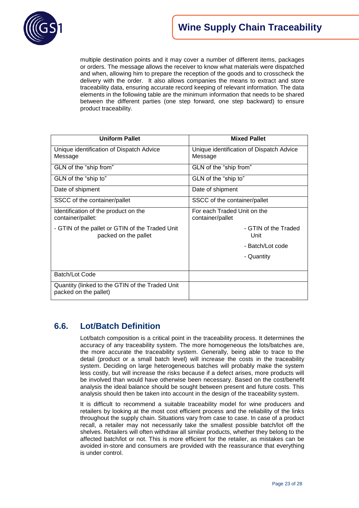

multiple destination points and it may cover a number of different items, packages or orders. The message allows the receiver to know what materials were dispatched and when, allowing him to prepare the reception of the goods and to crosscheck the delivery with the order. It also allows companies the means to extract and store traceability data, ensuring accurate record keeping of relevant information. The data elements in the following table are the minimum information that needs to be shared between the different parties (one step forward, one step backward) to ensure product traceability.

| <b>Uniform Pallet</b>                                                    | <b>Mixed Pallet</b>                                 |
|--------------------------------------------------------------------------|-----------------------------------------------------|
| Unique identification of Dispatch Advice<br>Message                      | Unique identification of Dispatch Advice<br>Message |
| GLN of the "ship from"                                                   | GLN of the "ship from"                              |
| GLN of the "ship to"                                                     | GLN of the "ship to"                                |
| Date of shipment                                                         | Date of shipment                                    |
| SSCC of the container/pallet                                             | SSCC of the container/pallet                        |
| Identification of the product on the<br>container/pallet:                | For each Traded Unit on the<br>container/pallet     |
| - GTIN of the pallet or GTIN of the Traded Unit<br>packed on the pallet  | - GTIN of the Traded<br>Unit                        |
|                                                                          | - Batch/Lot code                                    |
|                                                                          | - Quantity                                          |
|                                                                          |                                                     |
| Batch/Lot Code                                                           |                                                     |
| Quantity (linked to the GTIN of the Traded Unit<br>packed on the pallet) |                                                     |

## <span id="page-22-0"></span>**6.6. Lot/Batch Definition**

Lot/batch composition is a critical point in the traceability process. It determines the accuracy of any traceability system. The more homogeneous the lots/batches are, the more accurate the traceability system. Generally, being able to trace to the detail (product or a small batch level) will increase the costs in the traceability system. Deciding on large heterogeneous batches will probably make the system less costly, but will increase the risks because if a defect arises, more products will be involved than would have otherwise been necessary. Based on the cost/benefit analysis the ideal balance should be sought between present and future costs. This analysis should then be taken into account in the design of the traceability system.

It is difficult to recommend a suitable traceability model for wine producers and retailers by looking at the most cost efficient process and the reliability of the links throughout the supply chain. Situations vary from case to case. In case of a product recall, a retailer may not necessarily take the smallest possible batch/lot off the shelves. Retailers will often withdraw all similar products, whether they belong to the affected batch/lot or not. This is more efficient for the retailer, as mistakes can be avoided in-store and consumers are provided with the reassurance that everything is under control.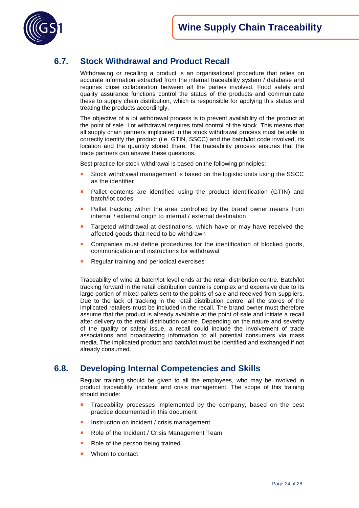

## <span id="page-23-0"></span>**6.7. Stock Withdrawal and Product Recall**

Withdrawing or recalling a product is an organisational procedure that relies on accurate information extracted from the internal traceability system / database and requires close collaboration between all the parties involved. Food safety and quality assurance functions control the status of the products and communicate these to supply chain distribution, which is responsible for applying this status and treating the products accordingly.

The objective of a lot withdrawal process is to prevent availability of the product at the point of sale. Lot withdrawal requires total control of the stock. This means that all supply chain partners implicated in the stock withdrawal process must be able to correctly identify the product (i.e. GTIN, SSCC) and the batch/lot code involved, its location and the quantity stored there. The traceability process ensures that the trade partners can answer these questions.

Best practice for stock withdrawal is based on the following principles:

- Stock withdrawal management is based on the logistic units using the SSCC as the identifier
- Pallet contents are identified using the product identification (GTIN) and batch/lot codes
- Pallet tracking within the area controlled by the brand owner means from internal / external origin to internal / external destination
- Targeted withdrawal at destinations, which have or may have received the affected goods that need to be withdrawn
- Companies must define procedures for the identification of blocked goods, communication and instructions for withdrawal
- **Regular training and periodical exercises**

Traceability of wine at batch/lot level ends at the retail distribution centre. Batch/lot tracking forward in the retail distribution centre is complex and expensive due to its large portion of mixed pallets sent to the points of sale and received from suppliers. Due to the lack of tracking in the retail distribution centre, all the stores of the implicated retailers must be included in the recall. The brand owner must therefore assume that the product is already available at the point of sale and initiate a recall after delivery to the retail distribution centre. Depending on the nature and severity of the quality or safety issue, a recall could include the involvement of trade associations and broadcasting information to all potential consumers via mass media. The implicated product and batch/lot must be identified and exchanged if not already consumed.

### <span id="page-23-1"></span>**6.8. Developing Internal Competencies and Skills**

Regular training should be given to all the employees, who may be involved in product traceability, incident and crisis management. The scope of this training should include:

- Traceability processes implemented by the company, based on the best practice documented in this document
- Instruction on incident / crisis management
- Role of the Incident / Crisis Management Team
- Role of the person being trained
- Whom to contact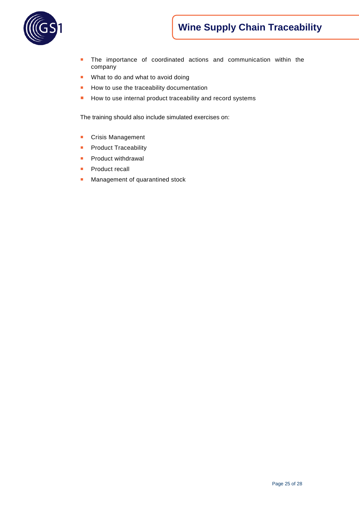# **Wine Supply Chain Traceability**



- **The importance of coordinated actions and communication within the** company
- **No. 3** What to do and what to avoid doing
- How to use the traceability documentation
- How to use internal product traceability and record systems

The training should also include simulated exercises on:

- **Crisis Management**
- **Product Traceability**
- **Product withdrawal**
- **Product recall**
- Management of quarantined stock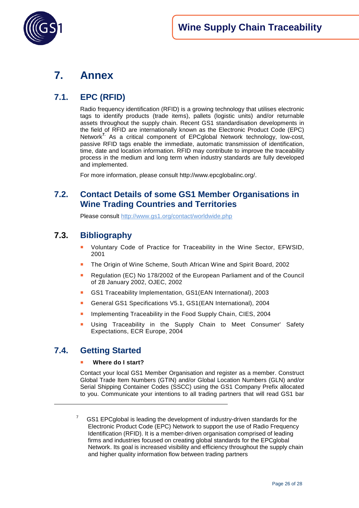



## <span id="page-25-0"></span>**7. Annex**

## <span id="page-25-1"></span>**7.1. EPC (RFID)**

Radio frequency identification (RFID) is a growing technology that utilises electronic tags to identify products (trade items), pallets (logistic units) and/or returnable assets throughout the supply chain. Recent GS1 standardisation developments in the field of RFID are internationally known as the Electronic Product Code (EPC) Network**7.** As a critical component of EPCglobal Network technology, low-cost, passive RFID tags enable the immediate, automatic transmission of identification, time, date and location information. RFID may contribute to improve the traceability process in the medium and long term when industry standards are fully developed and implemented.

For more information, please consult [http://www.epcglobalinc.org/.](http://www.epcglobalinc.org/)

## <span id="page-25-2"></span>**7.2. Contact Details of some GS1 Member Organisations in Wine Trading Countries and Territories**

Please consult<http://www.gs1.org/contact/worldwide.php>

## <span id="page-25-3"></span>**7.3. Bibliography**

- Voluntary Code of Practice for Traceability in the Wine Sector, EFWSID, 2001
- The Origin of Wine Scheme, South African Wine and Spirit Board, 2002
- Regulation (EC) No 178/2002 of the European Parliament and of the Council of 28 January 2002, OJEC, 2002
- GS1 Traceability Implementation, GS1(EAN International), 2003
- General GS1 Specifications V5.1, GS1(EAN International), 2004
- **Implementing Traceability in the Food Supply Chain, CIES, 2004**
- Using Traceability in the Supply Chain to Meet Consumer' Safety Expectations, ECR Europe, 2004

## <span id="page-25-4"></span>**7.4. Getting Started**

 $\overline{a}$ 

#### **Where do I start?**

Contact your local GS1 Member Organisation and register as a member. Construct Global Trade Item Numbers (GTIN) and/or Global Location Numbers (GLN) and/or Serial Shipping Container Codes (SSCC) using the GS1 Company Prefix allocated to you. Communicate your intentions to all trading partners that will read GS1 bar

7 GS1 EPCglobal is leading the development of industry-driven standards for the Electronic Product Code (EPC) Network to support the use of Radio Frequency Identification (RFID). It is a member-driven organisation comprised of leading firms and industries focused on creating global standards for the EPCglobal Network. Its goal is increased visibility and efficiency throughout the supply chain and higher quality information flow between trading partners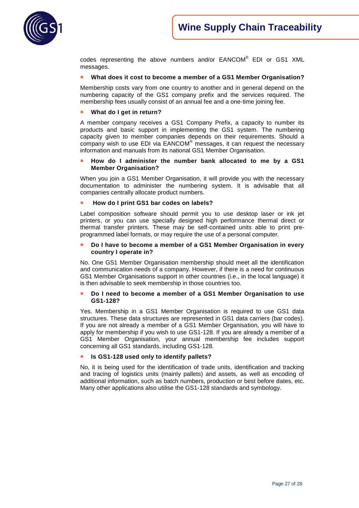

codes representing the above numbers and/or EANCOM® EDI or GS1 XML messages.

#### **What does it cost to become a member of a GS1 Member Organisation?**

Membership costs vary from one country to another and in general depend on the numbering capacity of the GS1 company prefix and the services required. The membership fees usually consist of an annual fee and a one-time joining fee.

#### **What do I get in return?**

A member company receives a GS1 Company Prefix, a capacity to number its products and basic support in implementing the GS1 system. The numbering capacity given to member companies depends on their requirements. Should a company wish to use EDI via EANCOM® messages, it can request the necessary information and manuals from its national GS1 Member Organisation.

#### **How do I administer the number bank allocated to me by a GS1 Member Organisation?**

When you join a GS1 Member Organisation, it will provide you with the necessary documentation to administer the numbering system. It is advisable that all companies centrally allocate product numbers.

#### **How do I print GS1 bar codes on labels?**

Label composition software should permit you to use desktop laser or ink jet printers, or you can use specially designed high performance thermal direct or thermal transfer printers. These may be self-contained units able to print preprogrammed label formats, or may require the use of a personal computer.

#### **Do I have to become a member of a GS1 Member Organisation in every country I operate in?**

No. One GS1 Member Organisation membership should meet all the identification and communication needs of a company. However, if there is a need for continuous GS1 Member Organisations support in other countries (i.e., in the local language) it is then advisable to seek membership in those countries too.

#### **Do I need to become a member of a GS1 Member Organisation to use GS1-128?**

Yes. Membership in a GS1 Member Organisation is required to use GS1 data structures. These data structures are represented in GS1 data carriers (bar codes). If you are not already a member of a GS1 Member Organisation, you will have to apply for membership if you wish to use GS1-128. If you are already a member of a GS1 Member Organisation, your annual membership fee includes support concerning all GS1 standards, including GS1-128.

#### **Is GS1-128 used only to identify pallets?**

No, it is being used for the identification of trade units, identification and tracking and tracing of logistics units (mainly pallets) and assets, as well as encoding of additional information, such as batch numbers, production or best before dates, etc. Many other applications also utilise the GS1-128 standards and symbology.